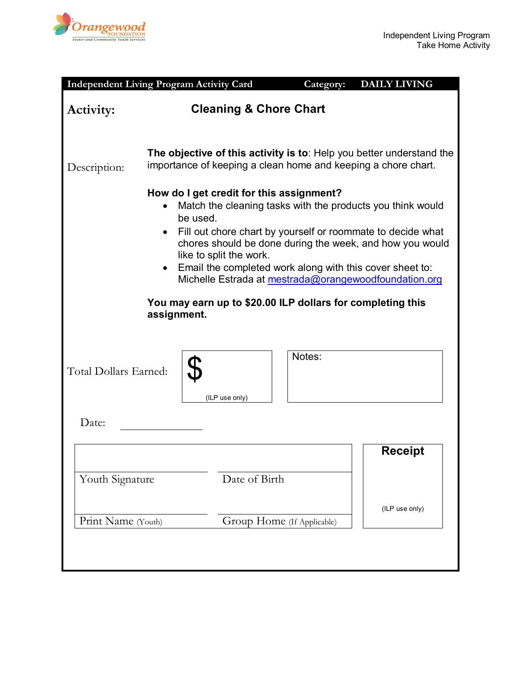

|                       | <b>Independent Living Program Activity Card</b>  |                                                                                                                                                                                               | Category: | <b>DAILY LIVING</b>                                                                                                                                                                                                                            |  |  |  |
|-----------------------|--------------------------------------------------|-----------------------------------------------------------------------------------------------------------------------------------------------------------------------------------------------|-----------|------------------------------------------------------------------------------------------------------------------------------------------------------------------------------------------------------------------------------------------------|--|--|--|
| Activity:             | <b>Cleaning &amp; Chore Chart</b>                |                                                                                                                                                                                               |           |                                                                                                                                                                                                                                                |  |  |  |
| Description:          |                                                  | importance of keeping a clean home and keeping a chore chart.                                                                                                                                 |           | The objective of this activity is to: Help you better understand the                                                                                                                                                                           |  |  |  |
|                       | be used.<br>$\bullet$<br>assignment.             | How do I get credit for this assignment?<br>like to split the work.<br>Email the completed work along with this cover sheet to:<br>You may earn up to \$20.00 ILP dollars for completing this |           | Match the cleaning tasks with the products you think would<br>Fill out chore chart by yourself or roommate to decide what<br>chores should be done during the week, and how you would<br>Michelle Estrada at mestrada@orangewoodfoundation.org |  |  |  |
| Total Dollars Earned: |                                                  | (ILP use only)                                                                                                                                                                                | Notes:    |                                                                                                                                                                                                                                                |  |  |  |
| Date:                 |                                                  |                                                                                                                                                                                               |           |                                                                                                                                                                                                                                                |  |  |  |
|                       |                                                  | Date of Birth                                                                                                                                                                                 |           | <b>Receipt</b>                                                                                                                                                                                                                                 |  |  |  |
|                       | Youth Signature                                  |                                                                                                                                                                                               |           | (ILP use only)                                                                                                                                                                                                                                 |  |  |  |
|                       | Print Name (Youth)<br>Group Home (If Applicable) |                                                                                                                                                                                               |           |                                                                                                                                                                                                                                                |  |  |  |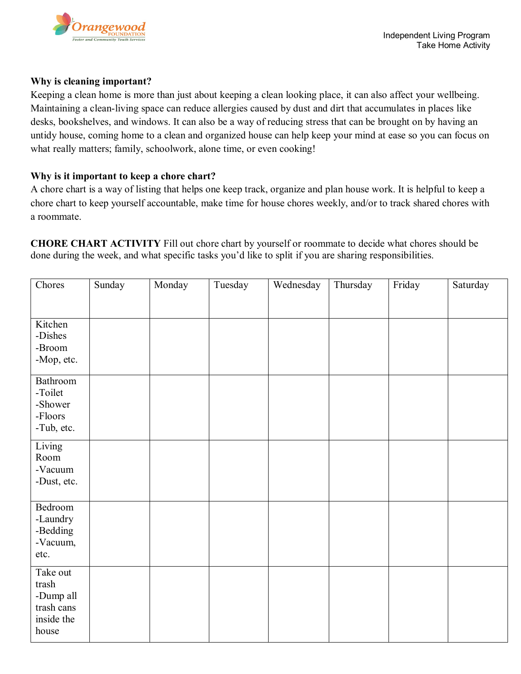

## **Why is cleaning important?**

Keeping a clean home is more than just about keeping a clean looking place, it can also affect your wellbeing. Maintaining a clean-living space can reduce allergies caused by dust and dirt that accumulates in places like desks, bookshelves, and windows. It can also be a way of reducing stress that can be brought on by having an untidy house, coming home to a clean and organized house can help keep your mind at ease so you can focus on what really matters; family, schoolwork, alone time, or even cooking!

## **Why is it important to keep a chore chart?**

A chore chart is a way of listing that helps one keep track, organize and plan house work. It is helpful to keep a chore chart to keep yourself accountable, make time for house chores weekly, and/or to track shared chores with a roommate.

**CHORE CHART ACTIVITY** Fill out chore chart by yourself or roommate to decide what chores should be done during the week, and what specific tasks you'd like to split if you are sharing responsibilities.

| Chores                                                              | Sunday | Monday | Tuesday | Wednesday | Thursday | Friday | Saturday |
|---------------------------------------------------------------------|--------|--------|---------|-----------|----------|--------|----------|
|                                                                     |        |        |         |           |          |        |          |
| Kitchen<br>-Dishes<br>-Broom<br>-Mop, etc.                          |        |        |         |           |          |        |          |
| Bathroom<br>-Toilet<br>-Shower<br>-Floors<br>-Tub, etc.             |        |        |         |           |          |        |          |
| Living<br>Room<br>-Vacuum<br>-Dust, etc.                            |        |        |         |           |          |        |          |
| Bedroom<br>-Laundry<br>-Bedding<br>-Vacuum,<br>etc.                 |        |        |         |           |          |        |          |
| Take out<br>trash<br>-Dump all<br>trash cans<br>inside the<br>house |        |        |         |           |          |        |          |